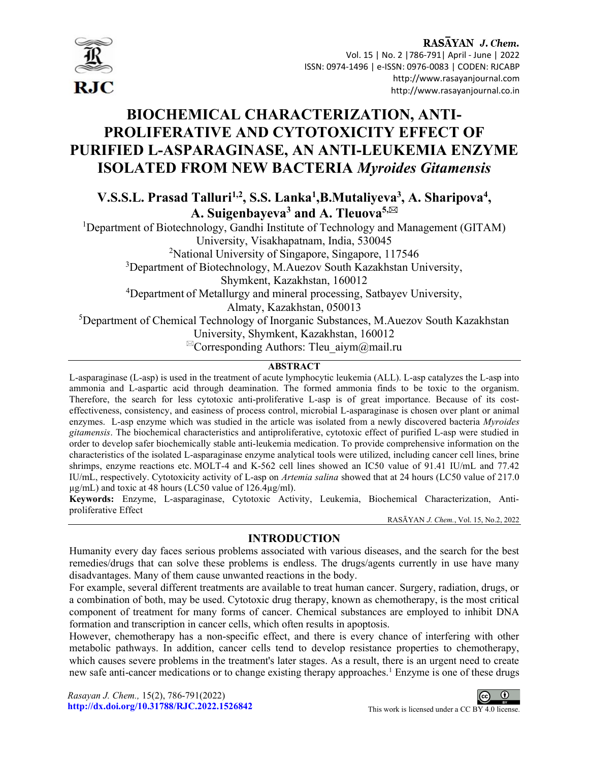

# BIOCHEMICAL CHARACTERIZATION, ANTI-PROLIFERATIVE AND CYTOTOXICITY EFFECT OF PURIFIED L-ASPARAGINASE, AN ANTI-LEUKEMIA ENZYME ISOLATED FROM NEW BACTERIA Myroides Gitamensis

V.S.S.L. Prasad Talluri<sup>1,2</sup>, S.S. Lanka<sup>1</sup>, B.Mutaliyeva<sup>3</sup>, A. Sharipova<sup>4</sup>, A. Suigenbayeva<sup>3</sup> and A. Tleuova<sup>5,⊠</sup>

<sup>1</sup>Department of Biotechnology, Gandhi Institute of Technology and Management (GITAM) University, Visakhapatnam, India, 530045 <sup>2</sup>National University of Singapore, Singapore, 117546 <sup>3</sup>Department of Biotechnology, M.Auezov South Kazakhstan University, Shymkent, Kazakhstan, 160012 <sup>4</sup>Department of Metallurgy and mineral processing, Satbayev University, Almaty, Kazakhstan, 050013 <sup>5</sup>Department of Chemical Technology of Inorganic Substances, M.Auezov South Kazakhstan University, Shymkent, Kazakhstan, 160012  ${}^{\boxtimes}$ Corresponding Authors: Tleu aiym $@$ mail.ru

# **ABSTRACT**

L-asparaginase (L-asp) is used in the treatment of acute lymphocytic leukemia (ALL). L-asp catalyzes the L-asp into ammonia and L-aspartic acid through deamination. The formed ammonia finds to be toxic to the organism. Therefore, the search for less cytotoxic anti-proliferative L-asp is of great importance. Because of its costeffectiveness, consistency, and easiness of process control, microbial L-asparaginase is chosen over plant or animal enzymes. L-asp enzyme which was studied in the article was isolated from a newly discovered bacteria Myroides gitamensis. The biochemical characteristics and antiproliferative, cytotoxic effect of purified L-asp were studied in order to develop safer biochemically stable anti-leukemia medication. To provide comprehensive information on the characteristics of the isolated L-asparaginase enzyme analytical tools were utilized, including cancer cell lines, brine shrimps, enzyme reactions etc. MOLT-4 and K-562 cell lines showed an IC50 value of 91.41 IU/mL and 77.42 IU/mL, respectively. Cytotoxicity activity of L-asp on Artemia salina showed that at 24 hours (LC50 value of 217.0  $\mu$ g/mL) and toxic at 48 hours (LC50 value of 126.4 $\mu$ g/ml).

Keywords: Enzyme, L-asparaginase, Cytotoxic Activity, Leukemia, Biochemical Characterization, Antiproliferative Effect

RASĀYAN J. Chem., Vol. 15, No.2, 2022

# INTRODUCTION

Humanity every day faces serious problems associated with various diseases, and the search for the best remedies/drugs that can solve these problems is endless. The drugs/agents currently in use have many disadvantages. Many of them cause unwanted reactions in the body.

For example, several different treatments are available to treat human cancer. Surgery, radiation, drugs, or a combination of both, may be used. Cytotoxic drug therapy, known as chemotherapy, is the most critical component of treatment for many forms of cancer. Chemical substances are employed to inhibit DNA formation and transcription in cancer cells, which often results in apoptosis.

However, chemotherapy has a non-specific effect, and there is every chance of interfering with other metabolic pathways. In addition, cancer cells tend to develop resistance properties to chemotherapy, which causes severe problems in the treatment's later stages. As a result, there is an urgent need to create new safe anti-cancer medications or to change existing therapy approaches.<sup>1</sup> Enzyme is one of these drugs

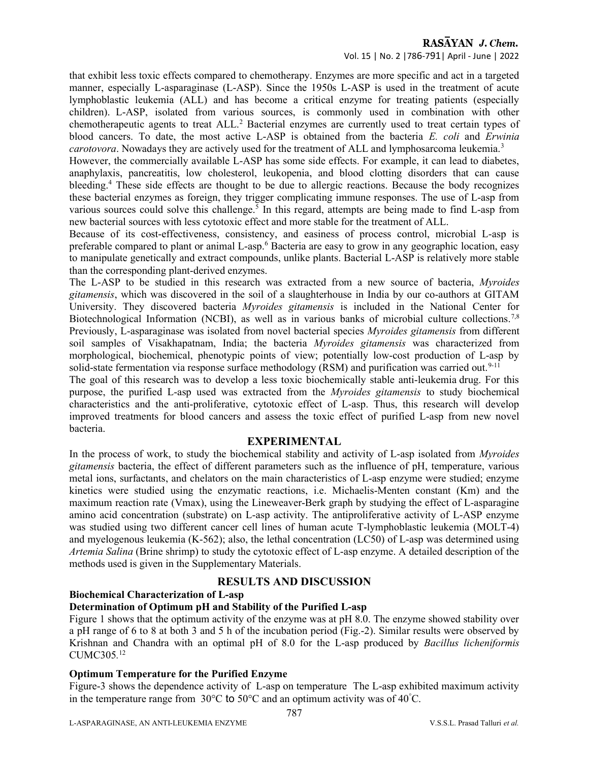that exhibit less toxic effects compared to chemotherapy. Enzymes are more specific and act in a targeted manner, especially L-asparaginase (L-ASP). Since the 1950s L-ASP is used in the treatment of acute lymphoblastic leukemia (ALL) and has become a critical enzyme for treating patients (especially children). L-ASP, isolated from various sources, is commonly used in combination with other chemotherapeutic agents to treat ALL.<sup>2</sup> Bacterial enzymes are currently used to treat certain types of blood cancers. To date, the most active L-ASP is obtained from the bacteria E. coli and Erwinia carotovora. Nowadays they are actively used for the treatment of ALL and lymphosarcoma leukemia.<sup>3</sup>

However, the commercially available L-ASP has some side effects. For example, it can lead to diabetes, anaphylaxis, pancreatitis, low cholesterol, leukopenia, and blood clotting disorders that can cause bleeding.<sup>4</sup> These side effects are thought to be due to allergic reactions. Because the body recognizes these bacterial enzymes as foreign, they trigger complicating immune responses. The use of L-asp from various sources could solve this challenge.<sup>5</sup> In this regard, attempts are being made to find L-asp from new bacterial sources with less cytotoxic effect and more stable for the treatment of ALL.

Because of its cost-effectiveness, consistency, and easiness of process control, microbial L-asp is preferable compared to plant or animal L-asp.<sup>6</sup> Bacteria are easy to grow in any geographic location, easy to manipulate genetically and extract compounds, unlike plants. Bacterial L-ASP is relatively more stable than the corresponding plant-derived enzymes.

The L-ASP to be studied in this research was extracted from a new source of bacteria, Myroides gitamensis, which was discovered in the soil of a slaughterhouse in India by our co-authors at GITAM University. They discovered bacteria Myroides gitamensis is included in the National Center for Biotechnological Information (NCBI), as well as in various banks of microbial culture collections.<sup>7,8</sup> Previously, L-asparaginase was isolated from novel bacterial species *Myroides gitamensis* from different soil samples of Visakhapatnam, India; the bacteria *Myroides gitamensis* was characterized from morphological, biochemical, phenotypic points of view; potentially low-cost production of L-asp by solid-state fermentation via response surface methodology (RSM) and purification was carried out.<sup>9-11</sup>

The goal of this research was to develop a less toxic biochemically stable anti-leukemia drug. For this purpose, the purified L-asp used was extracted from the Myroides gitamensis to study biochemical characteristics and the anti-proliferative, cytotoxic effect of L-asp. Thus, this research will develop improved treatments for blood cancers and assess the toxic effect of purified L-asp from new novel bacteria.

# EXPERIMENTAL

In the process of work, to study the biochemical stability and activity of L-asp isolated from Myroides gitamensis bacteria, the effect of different parameters such as the influence of pH, temperature, various metal ions, surfactants, and chelators on the main characteristics of L-asp enzyme were studied; enzyme kinetics were studied using the enzymatic reactions, i.e. Michaelis-Menten constant (Km) and the maximum reaction rate (Vmax), using the Lineweaver-Berk graph by studying the effect of L-asparagine amino acid concentration (substrate) on L-asp activity. The antiproliferative activity of L-ASP enzyme was studied using two different cancer cell lines of human acute T-lymphoblastic leukemia (MOLT-4) and myelogenous leukemia (K-562); also, the lethal concentration (LC50) of L-asp was determined using Artemia Salina (Brine shrimp) to study the cytotoxic effect of L-asp enzyme. A detailed description of the methods used is given in the Supplementary Materials.

# RESULTS AND DISCUSSION

# Biochemical Characterization of L-asp

# Determination of Optimum pH and Stability of the Purified L-asp

Figure 1 shows that the optimum activity of the enzyme was at pH 8.0. The enzyme showed stability over a pH range of 6 to 8 at both 3 and 5 h of the incubation period (Fig.-2). Similar results were observed by Krishnan and Chandra with an optimal pH of 8.0 for the L-asp produced by Bacillus licheniformis CUMC305. 12

#### Optimum Temperature for the Purified Enzyme

Figure-3 shows the dependence activity of L-asp on temperature The L-asp exhibited maximum activity in the temperature range from 30°C to 50°C and an optimum activity was of 40°C.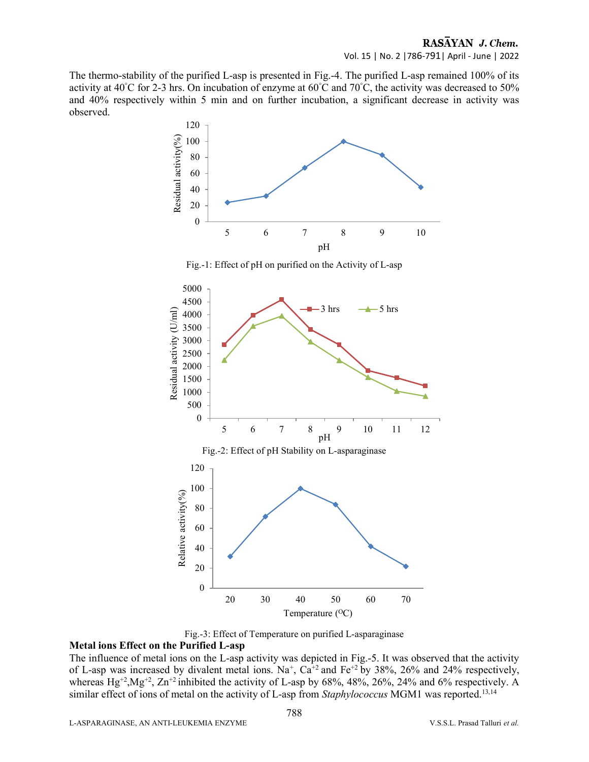The thermo-stability of the purified L-asp is presented in Fig.-4. The purified L-asp remained 100% of its activity at 40°C for 2-3 hrs. On incubation of enzyme at 60°C and 70°C, the activity was decreased to 50% and 40% respectively within 5 min and on further incubation, a significant decrease in activity was observed.



Fig.-1: Effect of pH on purified on the Activity of L-asp



Fig.-3: Effect of Temperature on purified L-asparaginase

# Metal ions Effect on the Purified L-asp

The influence of metal ions on the L-asp activity was depicted in Fig.-5. It was observed that the activity of L-asp was increased by divalent metal ions. Na<sup>+</sup>, Ca<sup>+2</sup> and Fe<sup>+2</sup> by 38%, 26% and 24% respectively, whereas  $Hg^{+2}$ ,  $Mg^{+2}$ ,  $Zn^{+2}$  inhibited the activity of L-asp by 68%, 48%, 26%, 24% and 6% respectively. A similar effect of ions of metal on the activity of L-asp from Staphylococcus MGM1 was reported.<sup>13,14</sup>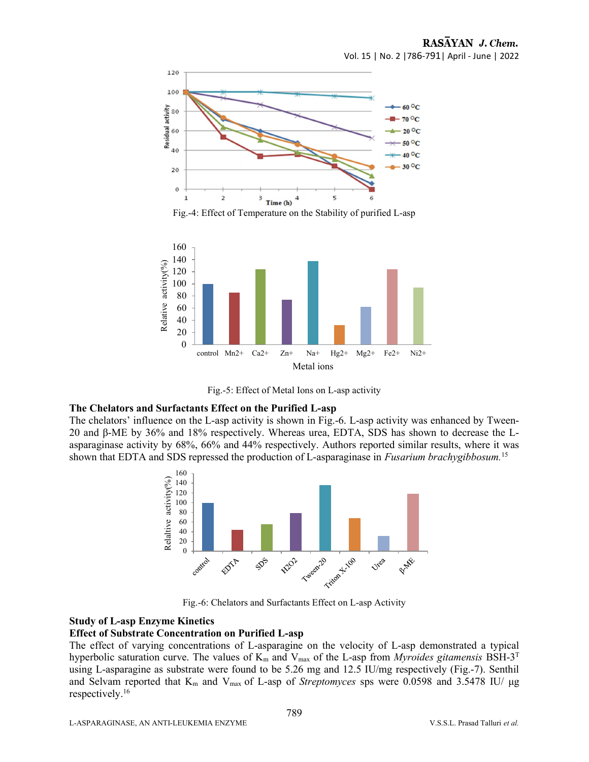





Fig.-5: Effect of Metal Ions on L-asp activity

#### The Chelators and Surfactants Effect on the Purified L-asp

The chelators' influence on the L-asp activity is shown in Fig.-6. L-asp activity was enhanced by Tween-20 and β-ME by 36% and 18% respectively. Whereas urea, EDTA, SDS has shown to decrease the Lasparaginase activity by 68%, 66% and 44% respectively. Authors reported similar results, where it was shown that EDTA and SDS repressed the production of L-asparaginase in Fusarium brachygibbosum.<sup>15</sup>



Fig.-6: Chelators and Surfactants Effect on L-asp Activity

#### Study of L-asp Enzyme Kinetics

#### Effect of Substrate Concentration on Purified L-asp

The effect of varying concentrations of L-asparagine on the velocity of L-asp demonstrated a typical hyperbolic saturation curve. The values of  $K_m$  and  $V_{max}$  of the L-asp from *Myroides gitamensis* BSH-3<sup>T</sup> using L-asparagine as substrate were found to be 5.26 mg and 12.5 IU/mg respectively (Fig.-7). Senthil and Selvam reported that  $K_m$  and  $V_{max}$  of L-asp of Streptomyces sps were 0.0598 and 3.5478 IU/  $\mu$ g respectively.<sup>16</sup>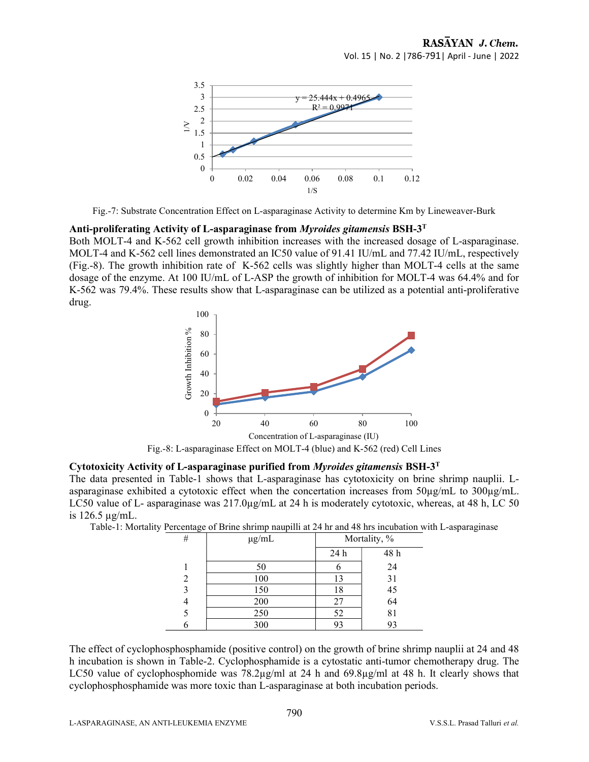

Fig.-7: Substrate Concentration Effect on L-asparaginase Activity to determine Km by Lineweaver-Burk

#### Anti-proliferating Activity of L-asparaginase from *Myroides gitamensis* BSH- $3<sup>T</sup>$

Both MOLT-4 and K-562 cell growth inhibition increases with the increased dosage of L-asparaginase. MOLT-4 and K-562 cell lines demonstrated an IC50 value of 91.41 IU/mL and 77.42 IU/mL, respectively (Fig.-8). The growth inhibition rate of K-562 cells was slightly higher than MOLT-4 cells at the same dosage of the enzyme. At 100 IU/mL of L-ASP the growth of inhibition for MOLT-4 was 64.4% and for K-562 was 79.4%. These results show that L-asparaginase can be utilized as a potential anti-proliferative drug.



Fig.-8: L-asparaginase Effect on MOLT-4 (blue) and K-562 (red) Cell Lines

# Cytotoxicity Activity of L-asparaginase purified from Myroides gitamensis BSH-3<sup>T</sup>

The data presented in Table-1 shows that L-asparaginase has cytotoxicity on brine shrimp nauplii. Lasparaginase exhibited a cytotoxic effect when the concertation increases from 50µg/mL to 300µg/mL. LC50 value of L- asparaginase was 217.0 $\mu$ g/mL at 24 h is moderately cytotoxic, whereas, at 48 h, LC 50 is 126.5 µg/mL.

Table-1: Mortality Percentage of Brine shrimp naupilli at 24 hr and 48 hrs incubation with L-asparaginase

| . .<br># | $\mu$ g/mL | Mortality, % |          |
|----------|------------|--------------|----------|
|          |            | 24 h         | 48 h     |
|          | 50         |              | 24       |
| 2        | 100        | 13           | 31       |
| 3        | 150        | 18           | 45<br>64 |
| ᅮ        | 200        | 27           |          |
| 5        | 250        | 52           | 81       |
| h        | 300        | 93           | 93       |

The effect of cyclophosphosphamide (positive control) on the growth of brine shrimp nauplii at 24 and 48 h incubation is shown in Table-2. Cyclophosphamide is a cytostatic anti-tumor chemotherapy drug. The LC50 value of cyclophosphomide was  $78.2\mu g/ml$  at 24 h and  $69.8\mu g/ml$  at 48 h. It clearly shows that cyclophosphosphamide was more toxic than L-asparaginase at both incubation periods.